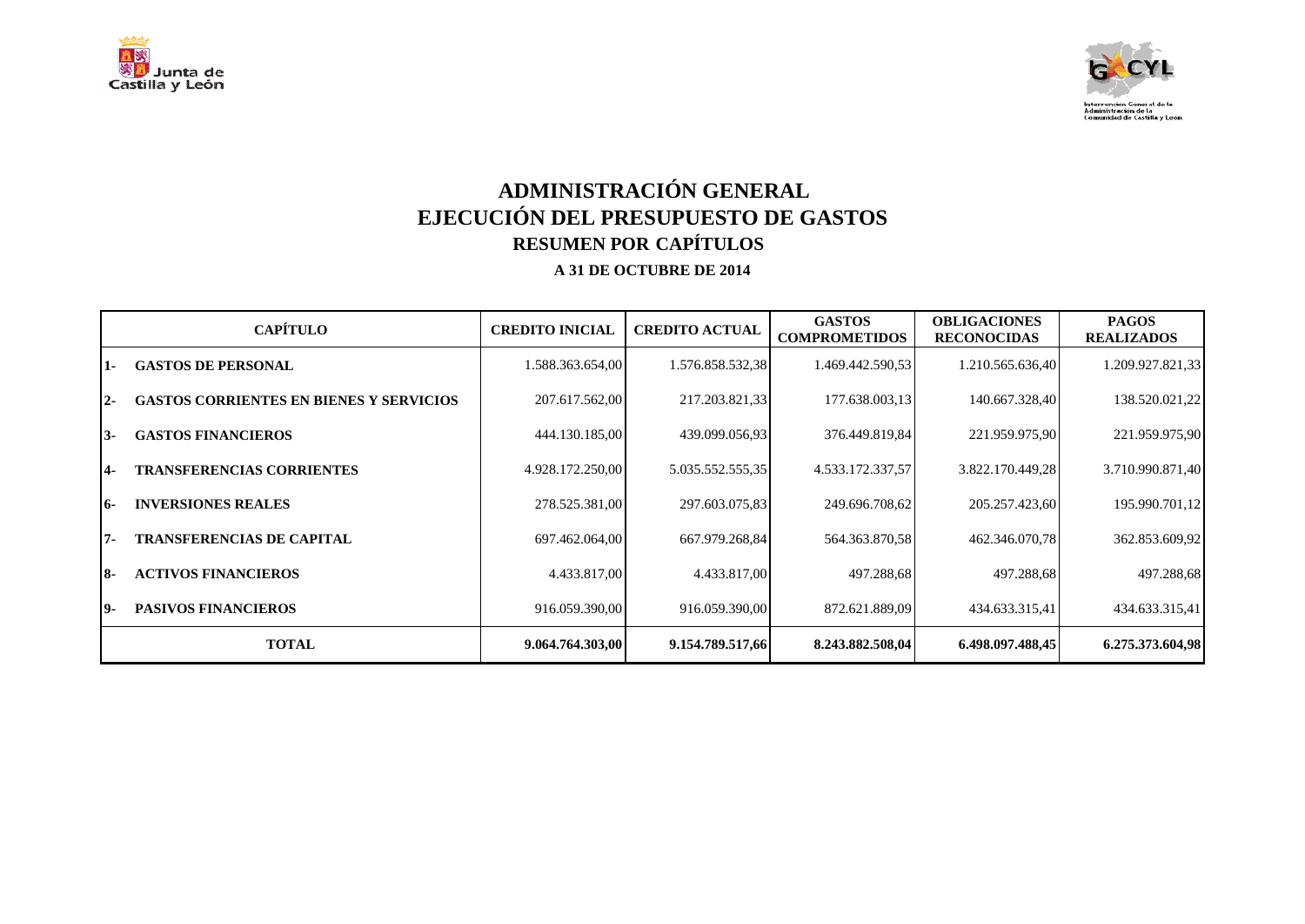



## **ADMINISTRACIÓN GENERAL EJECUCIÓN DEL PRESUPUESTO DE GASTOS RESUMEN POR CAPÍTULOS A 31 DE OCTUBRE DE 2014**

|            | <b>CAPÍTULO</b>                                | <b>CREDITO INICIAL</b> | <b>CREDITO ACTUAL</b> | <b>GASTOS</b><br><b>COMPROMETIDOS</b> | <b>OBLIGACIONES</b><br><b>RECONOCIDAS</b> | <b>PAGOS</b><br><b>REALIZADOS</b> |
|------------|------------------------------------------------|------------------------|-----------------------|---------------------------------------|-------------------------------------------|-----------------------------------|
| 1-         | <b>GASTOS DE PERSONAL</b>                      | 1.588.363.654,00       | 1.576.858.532,38      | 1.469.442.590,53                      | 1.210.565.636,40                          | 1.209.927.821,33                  |
| <u> 2-</u> | <b>GASTOS CORRIENTES EN BIENES Y SERVICIOS</b> | 207.617.562,00         | 217.203.821,33        | 177.638.003,13                        | 140.667.328,40                            | 138.520.021,22                    |
| 13-        | <b>GASTOS FINANCIEROS</b>                      | 444.130.185,00         | 439.099.056,93        | 376.449.819,84                        | 221.959.975,90                            | 221.959.975,90                    |
| 4-         | <b>TRANSFERENCIAS CORRIENTES</b>               | 4.928.172.250,00       | 5.035.552.555,35      | 4.533.172.337,57                      | 3.822.170.449,28                          | 3.710.990.871,40                  |
| 16-        | <b>INVERSIONES REALES</b>                      | 278.525.381,00         | 297.603.075,83        | 249.696.708,62                        | 205.257.423,60                            | 195.990.701,12                    |
| 17-        | <b>TRANSFERENCIAS DE CAPITAL</b>               | 697.462.064,00         | 667.979.268,84        | 564.363.870,58                        | 462.346.070,78                            | 362.853.609,92                    |
| I8-        | <b>ACTIVOS FINANCIEROS</b>                     | 4.433.817,00           | 4.433.817,00          | 497.288,68                            | 497.288,68                                | 497.288,68                        |
| 19-        | <b>PASIVOS FINANCIEROS</b>                     | 916.059.390,00         | 916.059.390,00        | 872.621.889,09                        | 434.633.315,41                            | 434.633.315,41                    |
|            | <b>TOTAL</b>                                   | 9.064.764.303,00       | 9.154.789.517,66      | 8.243.882.508,04                      | 6.498.097.488,45                          | 6.275.373.604,98                  |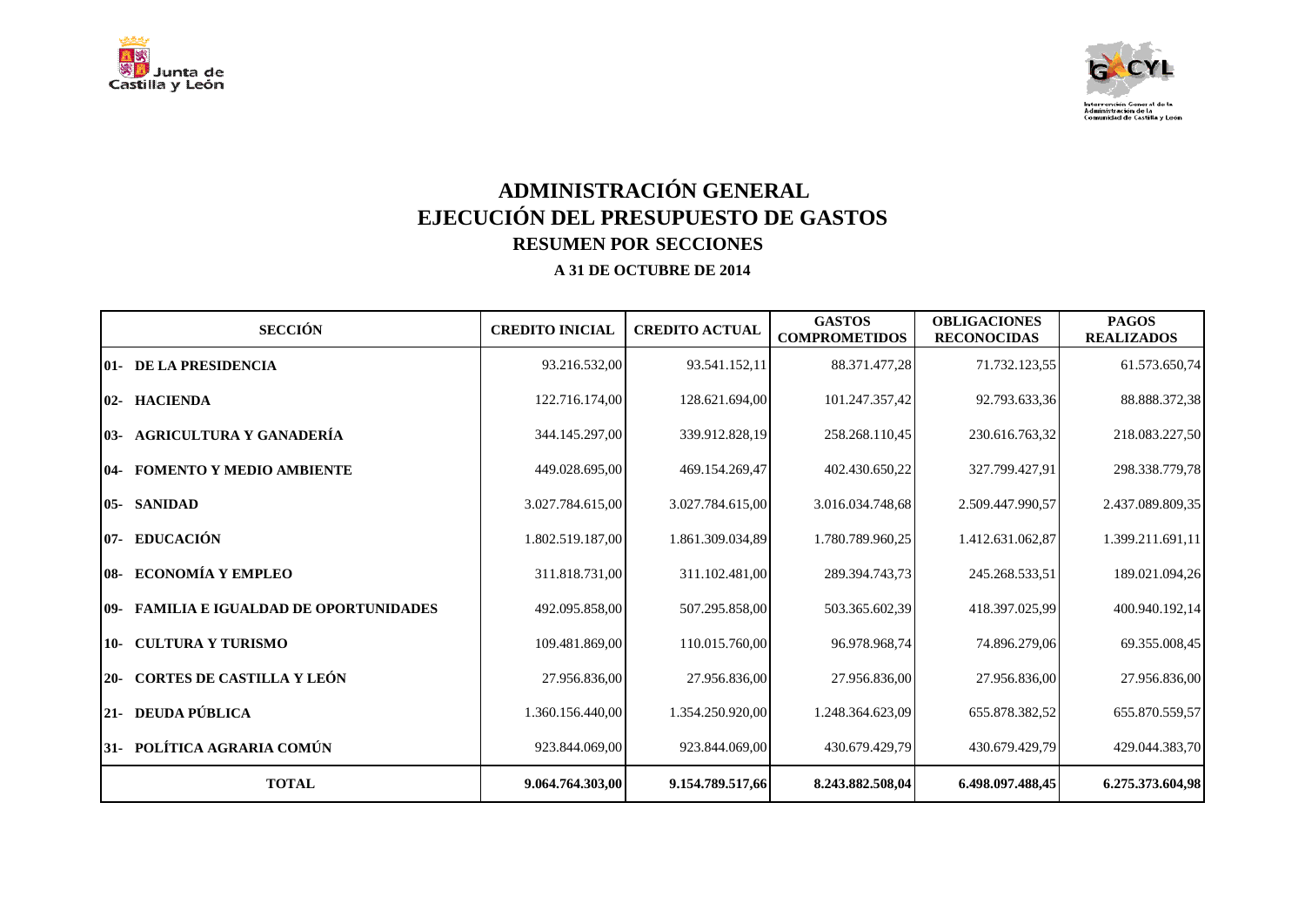



# **ADMINISTRACIÓN GENERAL EJECUCIÓN DEL PRESUPUESTO DE GASTOS RESUMEN POR SECCIONES**

| <b>SECCIÓN</b>                                  | <b>CREDITO INICIAL</b> | <b>CREDITO ACTUAL</b> | <b>GASTOS</b><br><b>COMPROMETIDOS</b> | <b>OBLIGACIONES</b><br><b>RECONOCIDAS</b> | <b>PAGOS</b><br><b>REALIZADOS</b> |
|-------------------------------------------------|------------------------|-----------------------|---------------------------------------|-------------------------------------------|-----------------------------------|
| <b>01- DE LA PRESIDENCIA</b>                    | 93.216.532,00          | 93.541.152,11         | 88.371.477,28                         | 71.732.123,55                             | 61.573.650,74                     |
| 02- HACIENDA                                    | 122.716.174,00         | 128.621.694,00        | 101.247.357,42                        | 92.793.633,36                             | 88.888.372,38                     |
| 03- AGRICULTURA Y GANADERÍA                     | 344.145.297,00         | 339.912.828,19        | 258.268.110,45                        | 230.616.763,32                            | 218.083.227,50                    |
| <b>104- FOMENTO Y MEDIO AMBIENTE</b>            | 449.028.695,00         | 469.154.269,47        | 402.430.650,22                        | 327.799.427,91                            | 298.338.779,78                    |
| <b>05- SANIDAD</b>                              | 3.027.784.615,00       | 3.027.784.615,00      | 3.016.034.748.68                      | 2.509.447.990.57                          | 2.437.089.809,35                  |
| 07- EDUCACIÓN                                   | 1.802.519.187,00       | 1.861.309.034,89      | 1.780.789.960,25                      | 1.412.631.062,87                          | 1.399.211.691,11                  |
| 08- ECONOMÍA Y EMPLEO                           | 311.818.731,00         | 311.102.481,00        | 289.394.743,73                        | 245.268.533,51                            | 189.021.094,26                    |
| <b>109- FAMILIA E IGUALDAD DE OPORTUNIDADES</b> | 492.095.858.00         | 507.295.858,00        | 503.365.602.39                        | 418.397.025.99                            | 400.940.192.14                    |
| 10- CULTURA Y TURISMO                           | 109.481.869,00         | 110.015.760,00        | 96.978.968,74                         | 74.896.279,06                             | 69.355.008,45                     |
| 20- CORTES DE CASTILLA Y LEÓN                   | 27.956.836,00          | 27.956.836,00         | 27.956.836,00                         | 27.956.836,00                             | 27.956.836,00                     |
| 21- DEUDA PÚBLICA                               | 1.360.156.440,00       | 1.354.250.920,00      | 1.248.364.623.09                      | 655.878.382,52                            | 655.870.559,57                    |
| 31- POLÍTICA AGRARIA COMÚN                      | 923.844.069,00         | 923.844.069,00        | 430.679.429,79                        | 430.679.429,79                            | 429.044.383,70                    |
| <b>TOTAL</b>                                    | 9.064.764.303,00       | 9.154.789.517,66      | 8.243.882.508,04                      | 6.498.097.488,45                          | 6.275.373.604,98                  |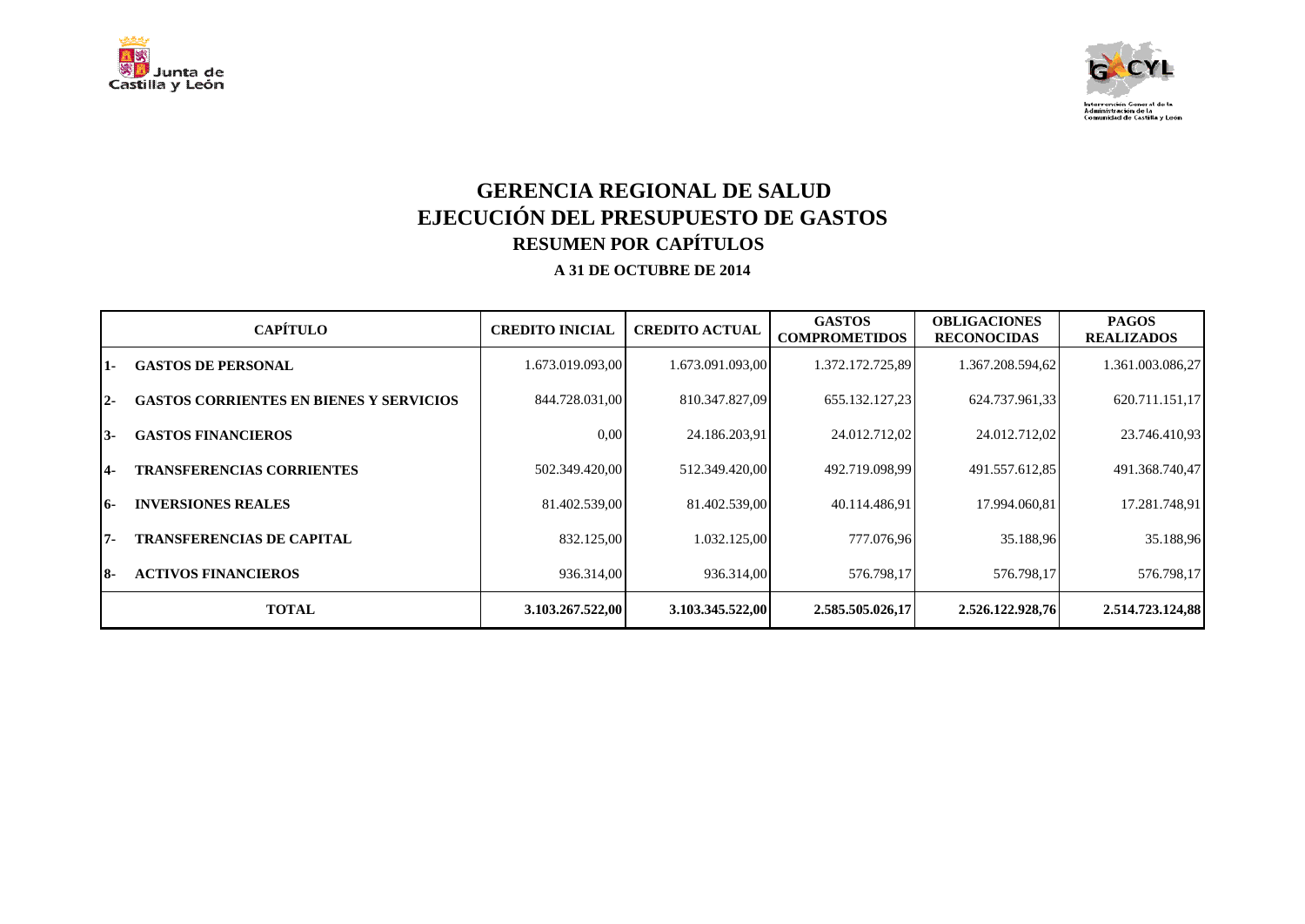



## **GERENCIA REGIONAL DE SALUD EJECUCIÓN DEL PRESUPUESTO DE GASTOS RESUMEN POR CAPÍTULOS A 31 DE OCTUBRE DE 2014**

|            | <b>CAPÍTULO</b>                                | <b>CREDITO INICIAL</b> | <b>CREDITO ACTUAL</b> | <b>GASTOS</b><br><b>COMPROMETIDOS</b> | <b>OBLIGACIONES</b><br><b>RECONOCIDAS</b> | <b>PAGOS</b><br><b>REALIZADOS</b> |
|------------|------------------------------------------------|------------------------|-----------------------|---------------------------------------|-------------------------------------------|-----------------------------------|
| $1 -$      | <b>GASTOS DE PERSONAL</b>                      | 1.673.019.093,00       | 1.673.091.093,00      | 1.372.172.725,89                      | 1.367.208.594,62                          | 1.361.003.086,27                  |
| $12-$      | <b>GASTOS CORRIENTES EN BIENES Y SERVICIOS</b> | 844.728.031,00         | 810.347.827.09        | 655.132.127,23                        | 624.737.961,33                            | 620.711.151,17                    |
| 13-        | <b>GASTOS FINANCIEROS</b>                      | 0.00                   | 24.186.203,91         | 24.012.712,02                         | 24.012.712,02                             | 23.746.410,93                     |
| 14-        | <b>TRANSFERENCIAS CORRIENTES</b>               | 502.349.420.00         | 512.349.420,00        | 492.719.098,99                        | 491.557.612,85                            | 491.368.740,47                    |
| <b>16-</b> | <b>INVERSIONES REALES</b>                      | 81.402.539,00          | 81.402.539,00         | 40.114.486,91                         | 17.994.060.81                             | 17.281.748,91                     |
| $7 -$      | <b>TRANSFERENCIAS DE CAPITAL</b>               | 832.125,00             | 1.032.125,00          | 777.076,96                            | 35.188,96                                 | 35.188,96                         |
| 18-        | <b>ACTIVOS FINANCIEROS</b>                     | 936.314.00             | 936.314,00            | 576.798,17                            | 576.798,17                                | 576.798,17                        |
|            | <b>TOTAL</b>                                   | 3.103.267.522,00       | 3.103.345.522.00      | 2.585.505.026.17                      | 2.526.122.928,76                          | 2.514.723.124,88                  |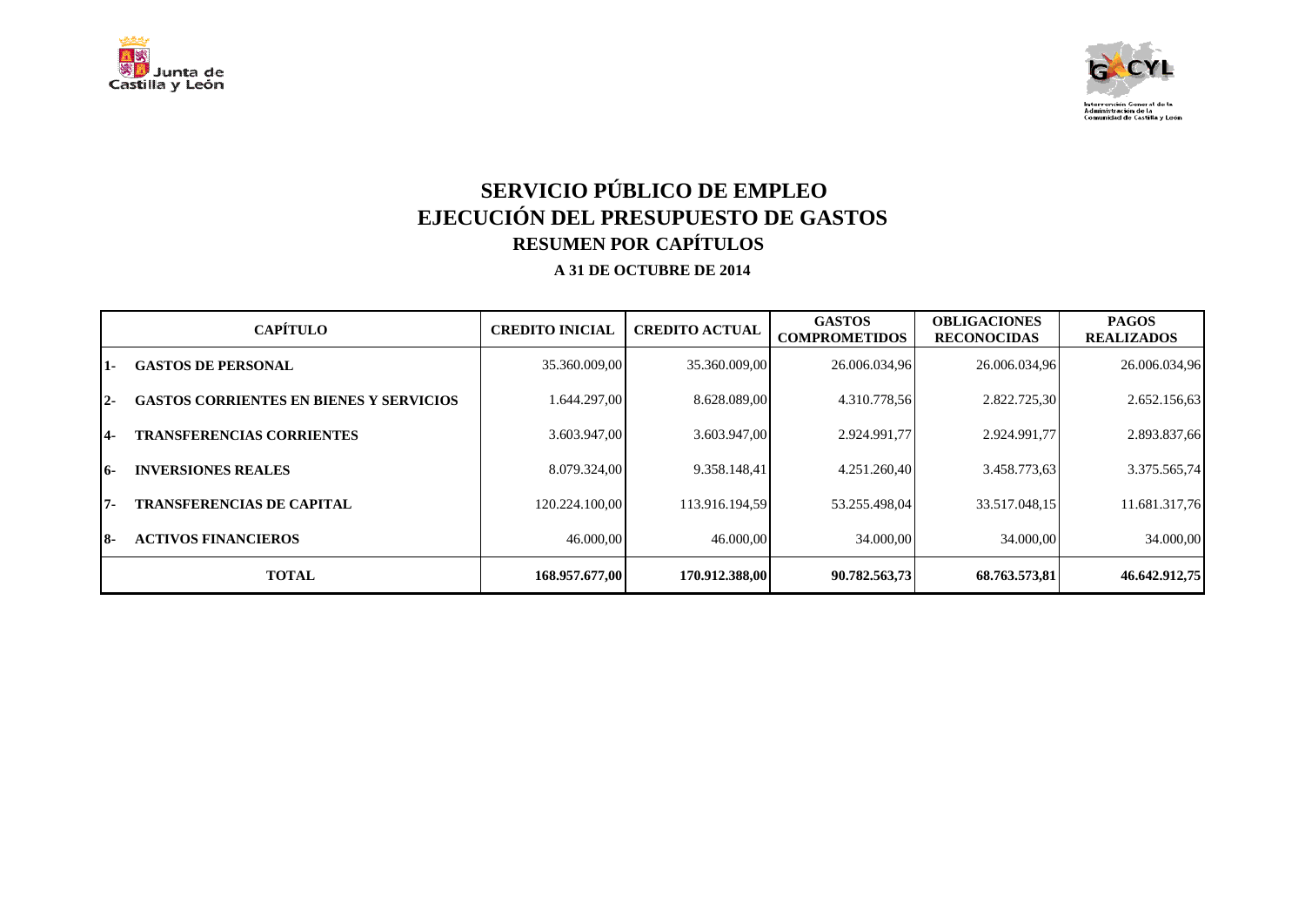



## **SERVICIO PÚBLICO DE EMPLEO EJECUCIÓN DEL PRESUPUESTO DE GASTOS RESUMEN POR CAPÍTULOS A 31 DE OCTUBRE DE 2014**

|            | <b>CAPÍTULO</b>                                | <b>CREDITO INICIAL</b> | <b>CREDITO ACTUAL</b> | <b>GASTOS</b><br><b>COMPROMETIDOS</b> | <b>OBLIGACIONES</b><br><b>RECONOCIDAS</b> | <b>PAGOS</b><br><b>REALIZADOS</b> |
|------------|------------------------------------------------|------------------------|-----------------------|---------------------------------------|-------------------------------------------|-----------------------------------|
| 1-         | <b>GASTOS DE PERSONAL</b>                      | 35.360.009,00          | 35.360.009,00         | 26.006.034,96                         | 26.006.034,96                             | 26.006.034,96                     |
| $2 -$      | <b>GASTOS CORRIENTES EN BIENES Y SERVICIOS</b> | 1.644.297.00           | 8.628.089.00          | 4.310.778.56                          | 2.822.725.30                              | 2.652.156,63                      |
| <b>14-</b> | <b>TRANSFERENCIAS CORRIENTES</b>               | 3.603.947.00           | 3.603.947.00          | 2.924.991,77                          | 2.924.991,77                              | 2.893.837,66                      |
| <b>16-</b> | <b>INVERSIONES REALES</b>                      | 8.079.324.00           | 9.358.148.41          | 4.251.260.40                          | 3.458.773,63                              | 3.375.565,74                      |
| $7 -$      | <b>TRANSFERENCIAS DE CAPITAL</b>               | 120.224.100.00         | 113.916.194.59        | 53.255.498.04                         | 33.517.048.15                             | 11.681.317,76                     |
| 18-        | <b>ACTIVOS FINANCIEROS</b>                     | 46.000,00              | 46.000,00             | 34.000,00                             | 34.000,00                                 | 34.000,00                         |
|            | <b>TOTAL</b>                                   | 168.957.677,00         | 170.912.388,00        | 90.782.563,73                         | 68.763.573,81                             | 46.642.912,75                     |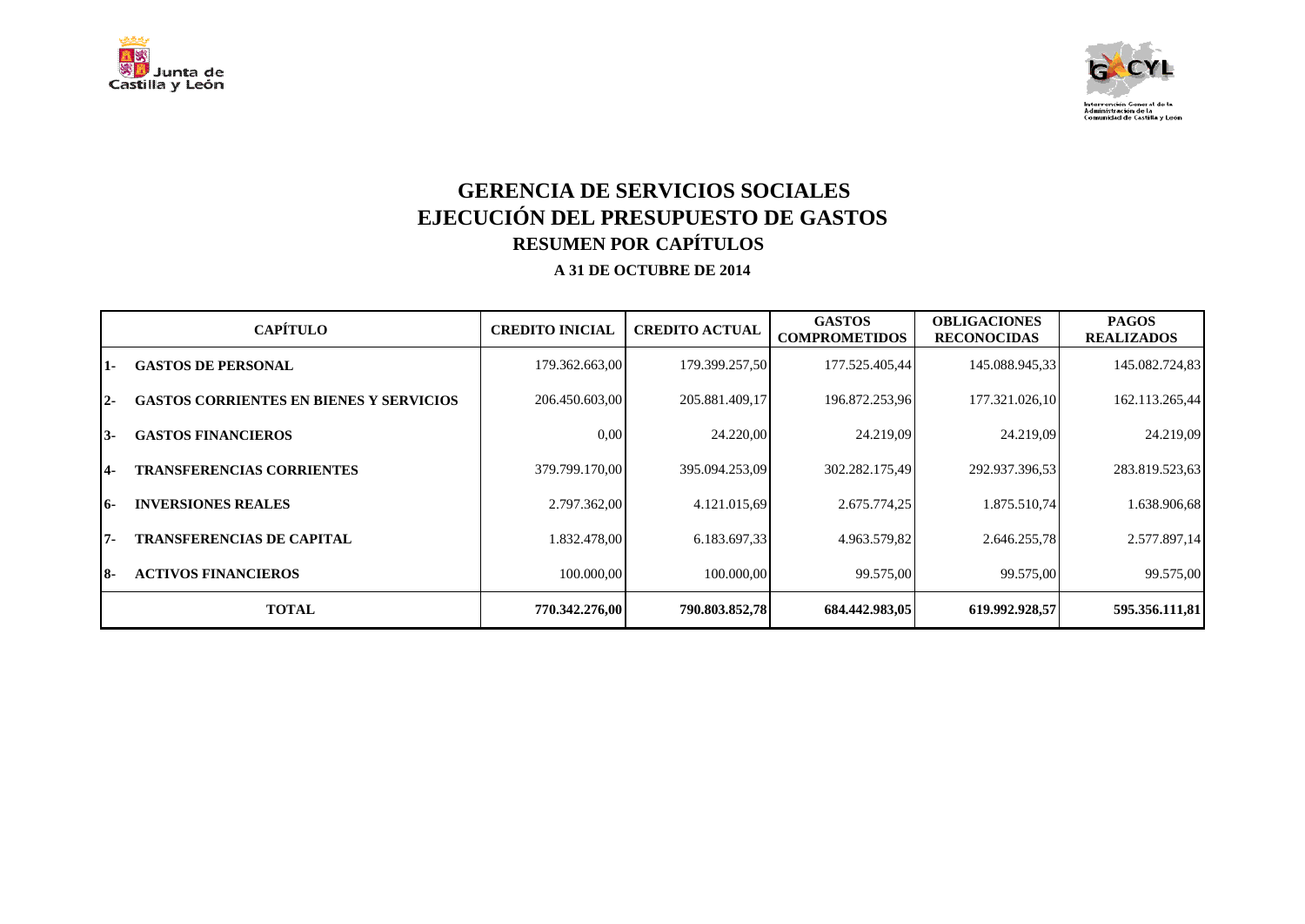



## **GERENCIA DE SERVICIOS SOCIALES EJECUCIÓN DEL PRESUPUESTO DE GASTOS RESUMEN POR CAPÍTULOS A 31 DE OCTUBRE DE 2014**

|       | <b>CAPÍTULO</b>                                | <b>CREDITO INICIAL</b> | <b>CREDITO ACTUAL</b> | <b>GASTOS</b><br><b>COMPROMETIDOS</b> | <b>OBLIGACIONES</b><br><b>RECONOCIDAS</b> | <b>PAGOS</b><br><b>REALIZADOS</b> |
|-------|------------------------------------------------|------------------------|-----------------------|---------------------------------------|-------------------------------------------|-----------------------------------|
| 11 -  | <b>GASTOS DE PERSONAL</b>                      | 179.362.663,00         | 179.399.257,50        | 177.525.405,44                        | 145.088.945,33                            | 145.082.724,83                    |
| $12-$ | <b>GASTOS CORRIENTES EN BIENES Y SERVICIOS</b> | 206.450.603,00         | 205.881.409,17        | 196.872.253,96                        | 177.321.026,10                            | 162.113.265,44                    |
| $13-$ | <b>GASTOS FINANCIEROS</b>                      | 0.00                   | 24.220,00             | 24.219,09                             | 24.219,09                                 | 24.219,09                         |
| 14-   | <b>TRANSFERENCIAS CORRIENTES</b>               | 379.799.170,00         | 395.094.253,09        | 302.282.175,49                        | 292.937.396,53                            | 283.819.523,63                    |
| 16-   | <b>INVERSIONES REALES</b>                      | 2.797.362,00           | 4.121.015,69          | 2.675.774,25                          | 1.875.510,74                              | 1.638.906,68                      |
| 17-   | <b>TRANSFERENCIAS DE CAPITAL</b>               | 1.832.478,00           | 6.183.697,33          | 4.963.579,82                          | 2.646.255,78                              | 2.577.897,14                      |
| 18-   | <b>ACTIVOS FINANCIEROS</b>                     | 100.000,00             | 100.000.00            | 99.575.00                             | 99.575.00                                 | 99.575,00                         |
|       | <b>TOTAL</b>                                   | 770.342.276,00         | 790.803.852,78        | 684.442.983,05                        | 619.992.928.57                            | 595.356.111,81                    |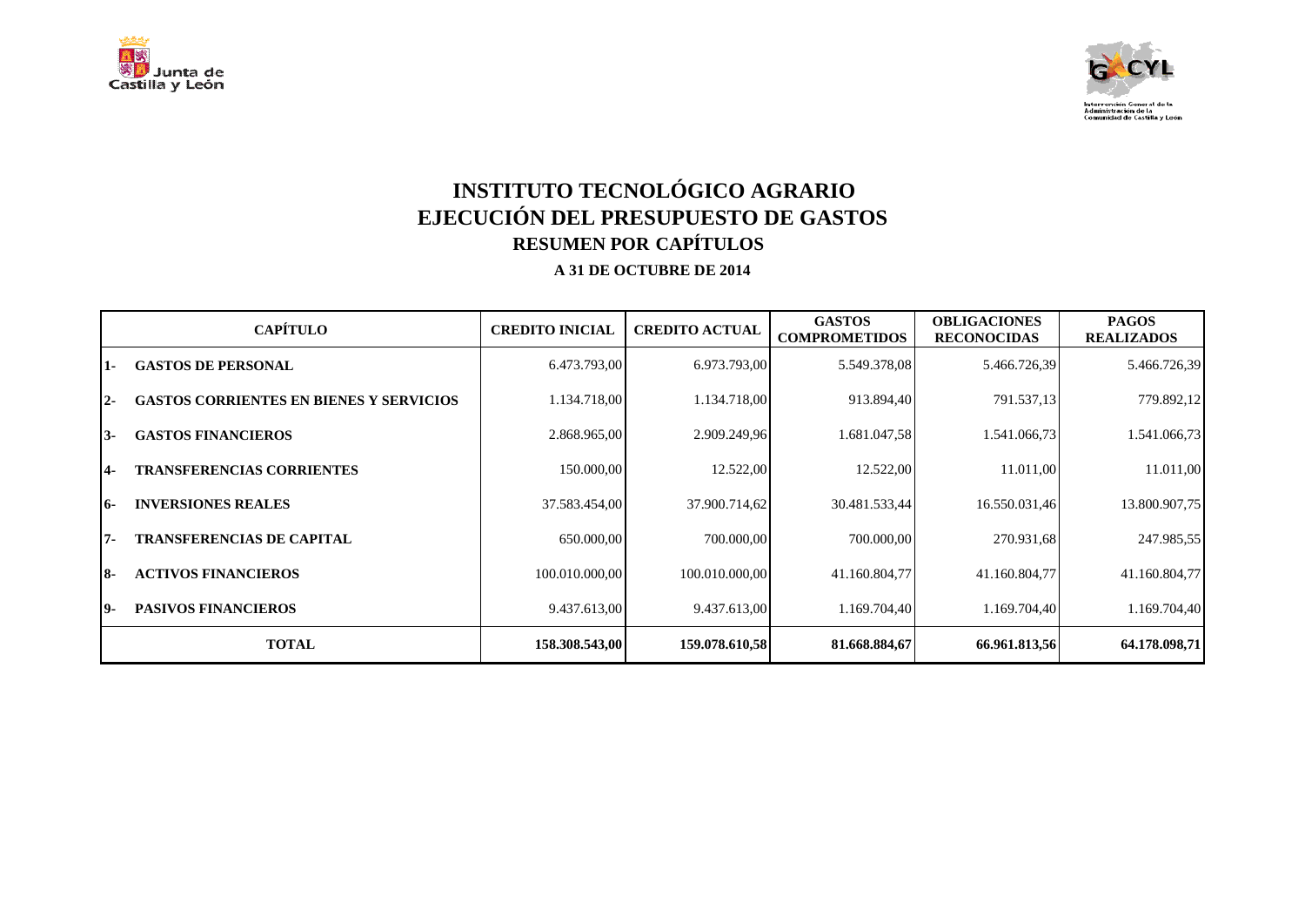



## **INSTITUTO TECNOLÓGICO AGRARIO EJECUCIÓN DEL PRESUPUESTO DE GASTOS RESUMEN POR CAPÍTULOS A 31 DE OCTUBRE DE 2014**

|       | <b>CAPÍTULO</b>                                | <b>CREDITO INICIAL</b> | <b>CREDITO ACTUAL</b> | <b>GASTOS</b><br><b>COMPROMETIDOS</b> | <b>OBLIGACIONES</b><br><b>RECONOCIDAS</b> | <b>PAGOS</b><br><b>REALIZADOS</b> |
|-------|------------------------------------------------|------------------------|-----------------------|---------------------------------------|-------------------------------------------|-----------------------------------|
| 1-    | <b>GASTOS DE PERSONAL</b>                      | 6.473.793,00           | 6.973.793,00          | 5.549.378,08                          | 5.466.726,39                              | 5.466.726,39                      |
| $2 -$ | <b>GASTOS CORRIENTES EN BIENES Y SERVICIOS</b> | 1.134.718,00           | 1.134.718,00          | 913.894,40                            | 791.537,13                                | 779.892,12                        |
| $3-$  | <b>GASTOS FINANCIEROS</b>                      | 2.868.965,00           | 2.909.249,96          | 1.681.047,58                          | 1.541.066,73                              | 1.541.066,73                      |
| $4-$  | <b>TRANSFERENCIAS CORRIENTES</b>               | 150.000,00             | 12.522,00             | 12.522,00                             | 11.011,00                                 | 11.011,00                         |
| 16-   | <b>INVERSIONES REALES</b>                      | 37.583.454,00          | 37.900.714,62         | 30.481.533,44                         | 16.550.031,46                             | 13.800.907,75                     |
| l7-   | <b>TRANSFERENCIAS DE CAPITAL</b>               | 650.000,00             | 700.000,00            | 700.000,00                            | 270.931,68                                | 247.985,55                        |
| I8-   | <b>ACTIVOS FINANCIEROS</b>                     | 100.010.000,00         | 100.010.000,00        | 41.160.804,77                         | 41.160.804,77                             | 41.160.804,77                     |
| 19-   | <b>PASIVOS FINANCIEROS</b>                     | 9.437.613,00           | 9.437.613,00          | 1.169.704,40                          | 1.169.704,40                              | 1.169.704,40                      |
|       | <b>TOTAL</b>                                   | 158.308.543,00         | 159.078.610,58        | 81.668.884,67                         | 66.961.813,56                             | 64.178.098,71                     |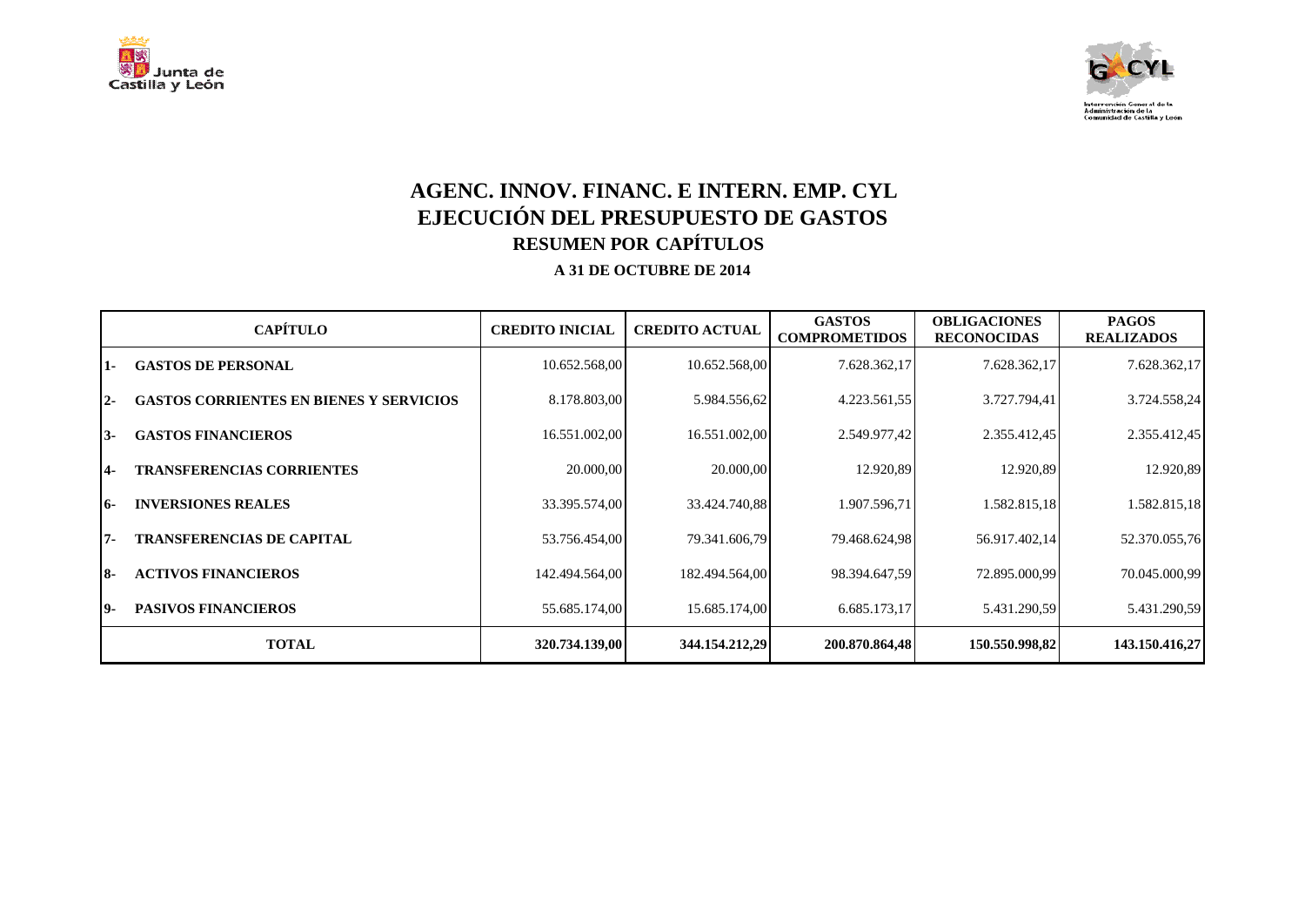



# **AGENC. INNOV. FINANC. E INTERN. EMP. CYL EJECUCIÓN DEL PRESUPUESTO DE GASTOS RESUMEN POR CAPÍTULOS**

|      | <b>CAPÍTULO</b>                                | <b>CREDITO INICIAL</b> | <b>CREDITO ACTUAL</b> | <b>GASTOS</b><br><b>COMPROMETIDOS</b> | <b>OBLIGACIONES</b><br><b>RECONOCIDAS</b> | <b>PAGOS</b><br><b>REALIZADOS</b> |
|------|------------------------------------------------|------------------------|-----------------------|---------------------------------------|-------------------------------------------|-----------------------------------|
| 11 - | <b>GASTOS DE PERSONAL</b>                      | 10.652.568,00          | 10.652.568,00         | 7.628.362,17                          | 7.628.362,17                              | 7.628.362,17                      |
| I2-  | <b>GASTOS CORRIENTES EN BIENES Y SERVICIOS</b> | 8.178.803,00           | 5.984.556,62          | 4.223.561,55                          | 3.727.794,41                              | 3.724.558,24                      |
| 13-  | <b>GASTOS FINANCIEROS</b>                      | 16.551.002,00          | 16.551.002,00         | 2.549.977,42                          | 2.355.412,45                              | 2.355.412,45                      |
| 14-  | <b>TRANSFERENCIAS CORRIENTES</b>               | 20.000,00              | 20.000,00             | 12.920,89                             | 12.920,89                                 | 12.920,89                         |
| 16-  | <b>INVERSIONES REALES</b>                      | 33.395.574,00          | 33.424.740,88         | 1.907.596,71                          | 1.582.815,18                              | 1.582.815,18                      |
| 17-  | <b>TRANSFERENCIAS DE CAPITAL</b>               | 53.756.454,00          | 79.341.606,79         | 79.468.624,98                         | 56.917.402,14                             | 52.370.055,76                     |
| 18-  | <b>ACTIVOS FINANCIEROS</b>                     | 142.494.564,00         | 182.494.564,00        | 98.394.647,59                         | 72.895.000,99                             | 70.045.000,99                     |
| 19-  | <b>PASIVOS FINANCIEROS</b>                     | 55.685.174,00          | 15.685.174,00         | 6.685.173,17                          | 5.431.290,59                              | 5.431.290,59                      |
|      | <b>TOTAL</b>                                   | 320.734.139,00         | 344.154.212,29        | 200.870.864,48                        | 150.550.998,82                            | 143.150.416,27                    |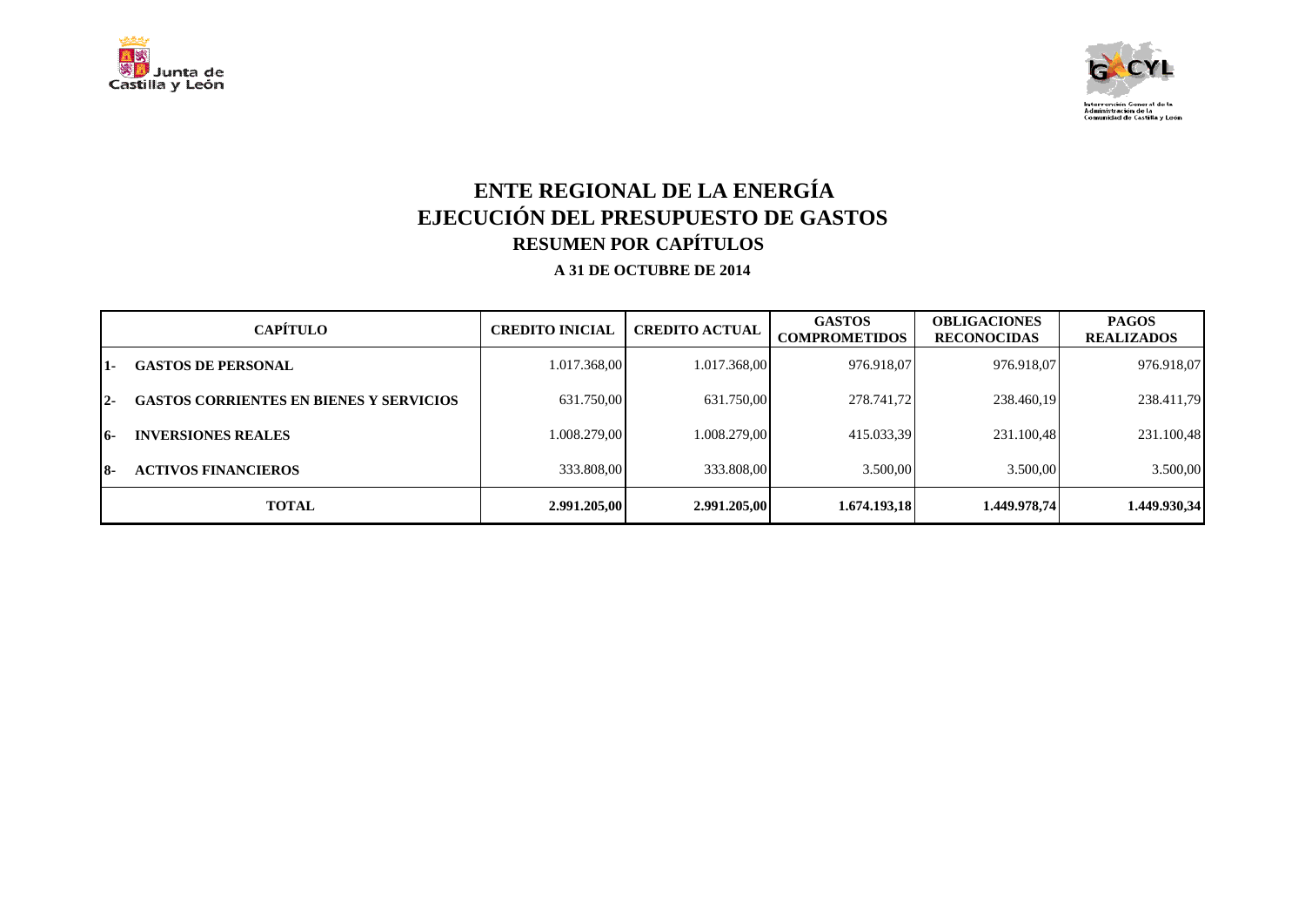



# **ENTE REGIONAL DE LA ENERGÍA EJECUCIÓN DEL PRESUPUESTO DE GASTOS RESUMEN POR CAPÍTULOS**

|       | <b>CAPÍTULO</b>                                | <b>CREDITO INICIAL</b> | <b>CREDITO ACTUAL</b> | <b>GASTOS</b><br><b>COMPROMETIDOS</b> | <b>OBLIGACIONES</b><br><b>RECONOCIDAS</b> | <b>PAGOS</b><br><b>REALIZADOS</b> |
|-------|------------------------------------------------|------------------------|-----------------------|---------------------------------------|-------------------------------------------|-----------------------------------|
| 1-    | <b>GASTOS DE PERSONAL</b>                      | 1.017.368,00           | 1.017.368,00          | 976.918,07                            | 976.918,07                                | 976.918,07                        |
| $2 -$ | <b>GASTOS CORRIENTES EN BIENES Y SERVICIOS</b> | 631.750,00             | 631.750,00            | 278.741,72                            | 238.460,19                                | 238.411,79                        |
| 16-   | <b>INVERSIONES REALES</b>                      | 1.008.279.00           | 1.008.279,00          | 415.033,39                            | 231.100,48                                | 231.100,48                        |
| 18-   | <b>ACTIVOS FINANCIEROS</b>                     | 333.808,00             | 333.808,00            | 3.500,00                              | 3.500,00                                  | 3.500,00                          |
|       | <b>TOTAL</b>                                   | 2.991.205,00           | 2.991.205,00          | 1.674.193,18                          | 1.449.978.74                              | 1.449.930,34                      |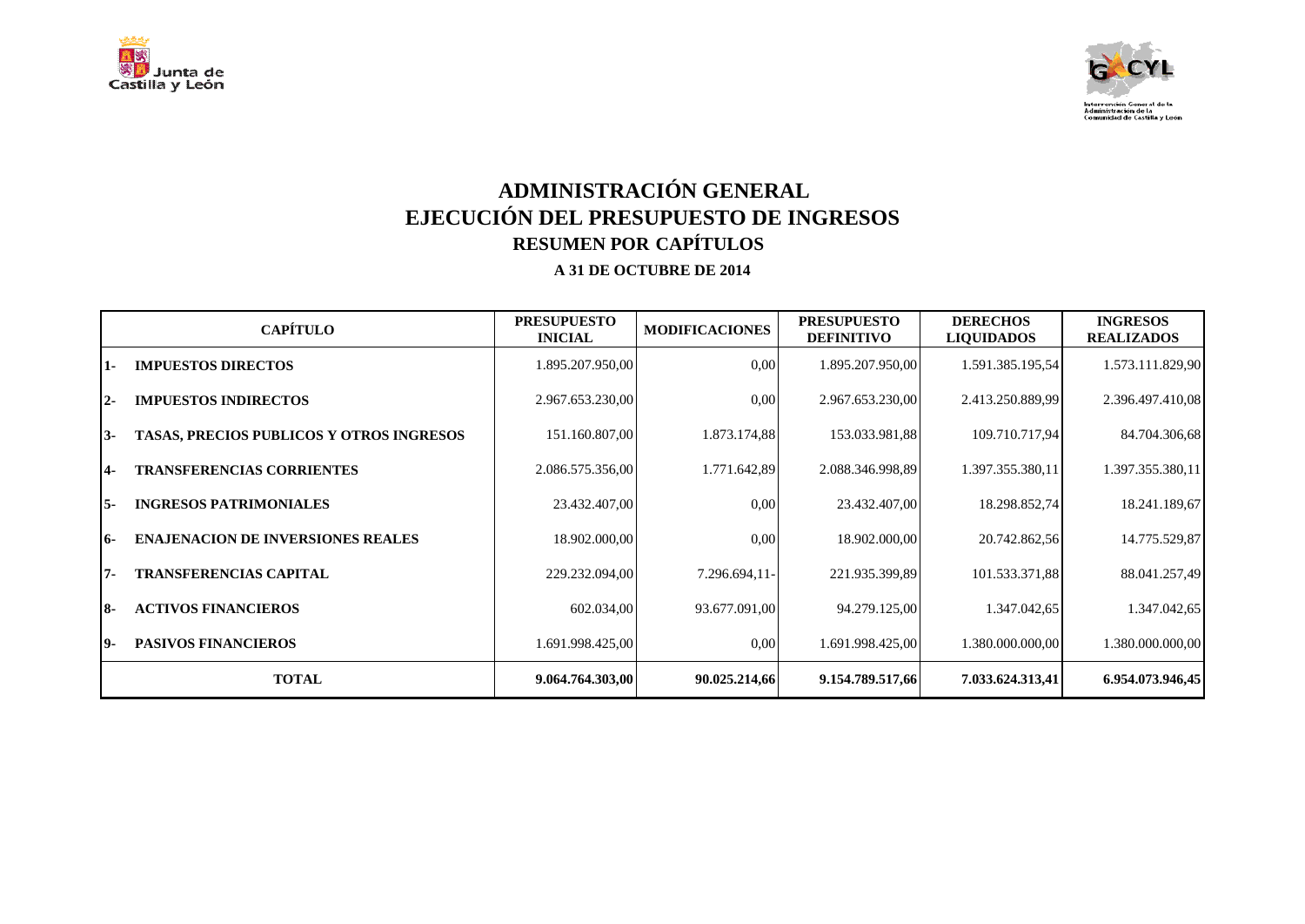



# **ADMINISTRACIÓN GENERAL EJECUCIÓN DEL PRESUPUESTO DE INGRESOS RESUMEN POR CAPÍTULOS**

|           | <b>CAPÍTULO</b>                                 | <b>PRESUPUESTO</b><br><b>INICIAL</b> | <b>MODIFICACIONES</b> | <b>PRESUPUESTO</b><br><b>DEFINITIVO</b> | <b>DERECHOS</b><br><b>LIQUIDADOS</b> | <b>INGRESOS</b><br><b>REALIZADOS</b> |
|-----------|-------------------------------------------------|--------------------------------------|-----------------------|-----------------------------------------|--------------------------------------|--------------------------------------|
| 11-       | <b>IMPUESTOS DIRECTOS</b>                       | 1.895.207.950,00                     | 0,00                  | 1.895.207.950,00                        | 1.591.385.195,54                     | 1.573.111.829,90                     |
| $12-$     | <b>IMPUESTOS INDIRECTOS</b>                     | 2.967.653.230,00                     | 0.00                  | 2.967.653.230,00                        | 2.413.250.889.99                     | 2.396.497.410,08                     |
| $13-$     | <b>TASAS, PRECIOS PUBLICOS Y OTROS INGRESOS</b> | 151.160.807,00                       | 1.873.174,88          | 153.033.981,88                          | 109.710.717,94                       | 84.704.306,68                        |
| 14-       | <b>TRANSFERENCIAS CORRIENTES</b>                | 2.086.575.356,00                     | 1.771.642,89          | 2.088.346.998,89                        | 1.397.355.380,11                     | 1.397.355.380,11                     |
| 15-       | <b>INGRESOS PATRIMONIALES</b>                   | 23.432.407,00                        | 0.00                  | 23.432.407,00                           | 18.298.852,74                        | 18.241.189,67                        |
| 16-       | <b>ENAJENACION DE INVERSIONES REALES</b>        | 18.902.000,00                        | 0,00                  | 18.902.000,00                           | 20.742.862,56                        | 14.775.529,87                        |
| 17-       | <b>TRANSFERENCIAS CAPITAL</b>                   | 229.232.094,00                       | 7.296.694,11-         | 221.935.399,89                          | 101.533.371,88                       | 88.041.257,49                        |
| <b>8-</b> | <b>ACTIVOS FINANCIEROS</b>                      | 602.034,00                           | 93.677.091,00         | 94.279.125,00                           | 1.347.042,65                         | 1.347.042,65                         |
| 19-       | <b>PASIVOS FINANCIEROS</b>                      | 1.691.998.425,00                     | 0,00                  | 1.691.998.425,00                        | 1.380.000.000,00                     | 1.380.000.000,00                     |
|           | <b>TOTAL</b>                                    | 9.064.764.303,00                     | 90.025.214,66         | 9.154.789.517,66                        | 7.033.624.313,41                     | 6.954.073.946,45                     |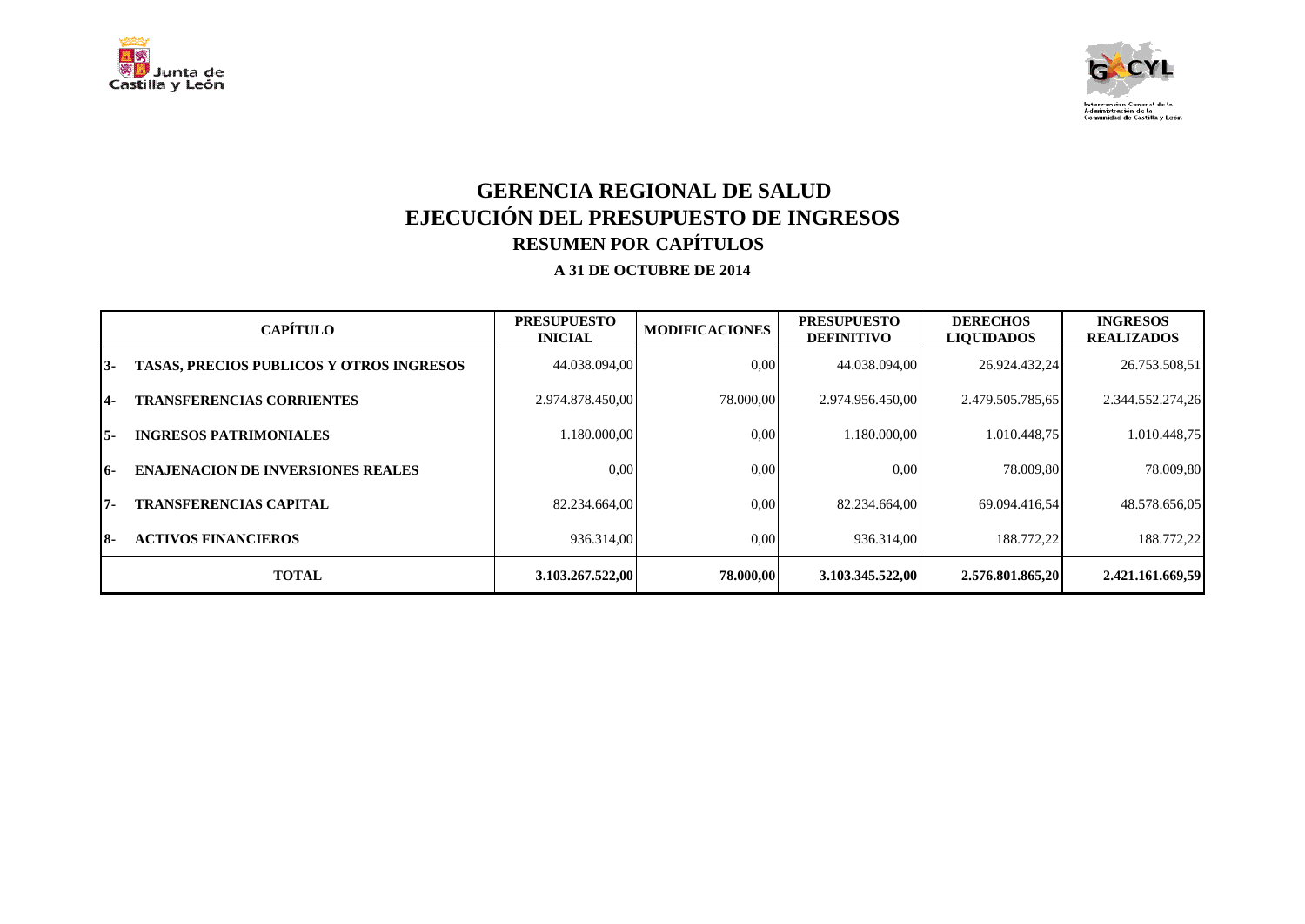



## **GERENCIA REGIONAL DE SALUD EJECUCIÓN DEL PRESUPUESTO DE INGRESOS RESUMEN POR CAPÍTULOS**

|     | <b>CAPÍTULO</b>                                 | <b>PRESUPUESTO</b><br><b>INICIAL</b> | <b>MODIFICACIONES</b> | <b>PRESUPUESTO</b><br><b>DEFINITIVO</b> | <b>DERECHOS</b><br><b>LIQUIDADOS</b> | <b>INGRESOS</b><br><b>REALIZADOS</b> |
|-----|-------------------------------------------------|--------------------------------------|-----------------------|-----------------------------------------|--------------------------------------|--------------------------------------|
| 13- | <b>TASAS, PRECIOS PUBLICOS Y OTROS INGRESOS</b> | 44.038.094.00                        | 0.00                  | 44.038.094.00                           | 26.924.432.24                        | 26.753.508,51                        |
| 14- | <b>TRANSFERENCIAS CORRIENTES</b>                | 2.974.878.450,00                     | 78.000.00             | 2.974.956.450.00                        | 2.479.505.785.65                     | 2.344.552.274,26                     |
| I5- | <b>INGRESOS PATRIMONIALES</b>                   | 1.180.000.00                         | 0.00                  | 1.180.000.00                            | 1.010.448.75                         | 1.010.448,75                         |
| 16- | <b>ENAJENACION DE INVERSIONES REALES</b>        | 0.00                                 | 0.00                  | 0.00                                    | 78.009.80                            | 78.009,80                            |
| 17- | <b>TRANSFERENCIAS CAPITAL</b>                   | 82.234.664.00                        | 0,00                  | 82.234.664.00                           | 69.094.416.54                        | 48.578.656,05                        |
| 18- | <b>ACTIVOS FINANCIEROS</b>                      | 936.314.00                           | 0,00                  | 936.314.00                              | 188.772.22                           | 188.772,22                           |
|     | <b>TOTAL</b>                                    | 3.103.267.522,00                     | 78.000.00             | 3.103.345.522,00                        | 2.576.801.865.20                     | 2.421.161.669.59                     |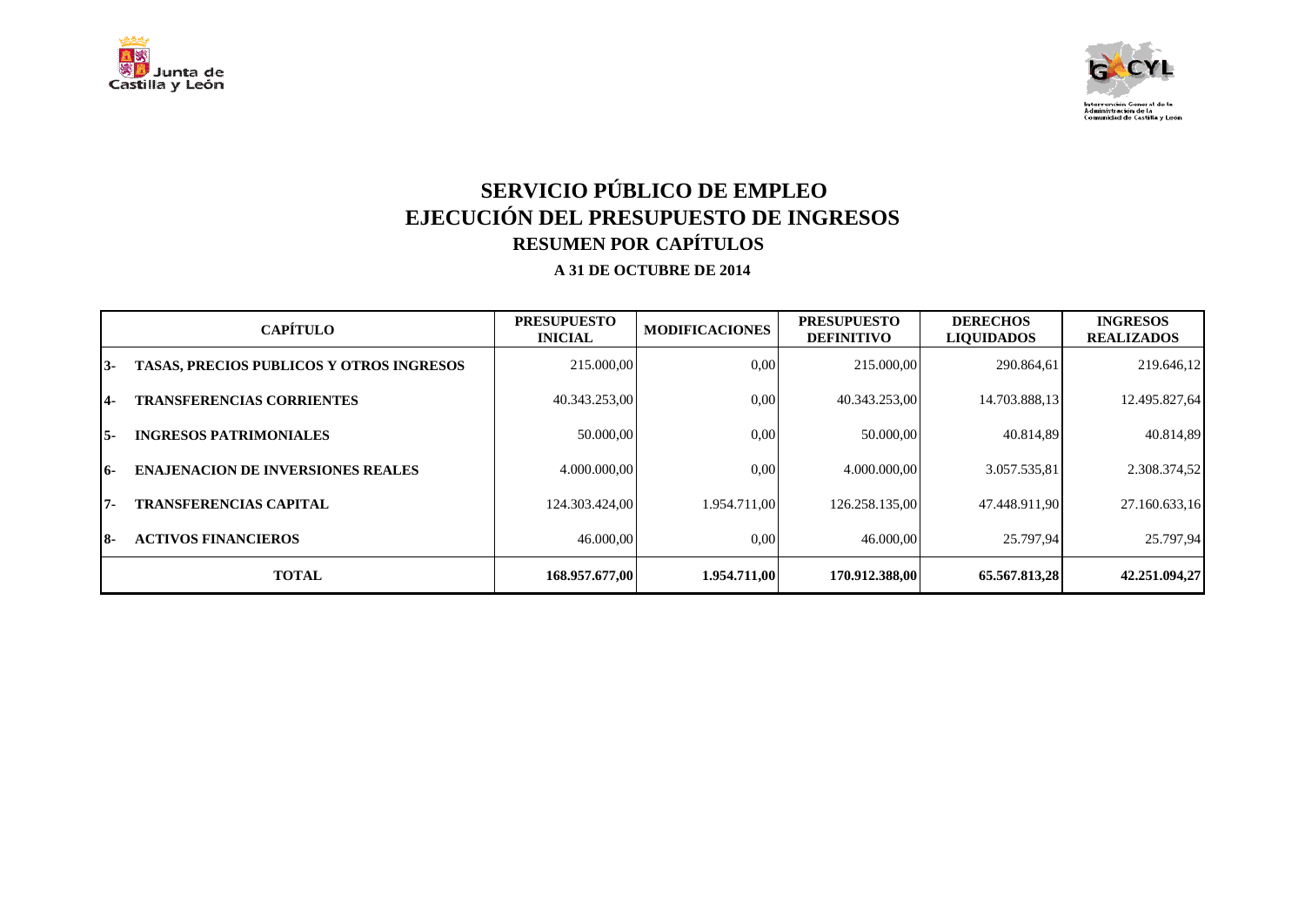



# **SERVICIO PÚBLICO DE EMPLEO EJECUCIÓN DEL PRESUPUESTO DE INGRESOS RESUMEN POR CAPÍTULOS**

|     | <b>CAPÍTULO</b>                                 | <b>PRESUPUESTO</b><br><b>INICIAL</b> | <b>MODIFICACIONES</b> | <b>PRESUPUESTO</b><br><b>DEFINITIVO</b> | <b>DERECHOS</b><br><b>LIQUIDADOS</b> | <b>INGRESOS</b><br><b>REALIZADOS</b> |
|-----|-------------------------------------------------|--------------------------------------|-----------------------|-----------------------------------------|--------------------------------------|--------------------------------------|
| 13- | <b>TASAS, PRECIOS PUBLICOS Y OTROS INGRESOS</b> | 215.000,00                           | 0.00                  | 215,000,00                              | 290.864,61                           | 219.646,12                           |
| 14- | <b>TRANSFERENCIAS CORRIENTES</b>                | 40.343.253.00                        | 0.00                  | 40.343.253,00                           | 14.703.888,13                        | 12.495.827,64                        |
| 15- | <b>INGRESOS PATRIMONIALES</b>                   | 50.000,00                            | 0.00                  | 50.000,00                               | 40.814.89                            | 40.814,89                            |
| 16- | <b>ENAJENACION DE INVERSIONES REALES</b>        | 4.000.000.00                         | 0.00                  | 4.000.000.00                            | 3.057.535,81                         | 2.308.374,52                         |
| 17- | <b>TRANSFERENCIAS CAPITAL</b>                   | 124.303.424.00                       | 1.954.711.00          | 126.258.135,00                          | 47.448.911,90                        | 27.160.633,16                        |
| I8- | <b>ACTIVOS FINANCIEROS</b>                      | 46.000,00                            | $0.00\,$              | 46.000,00                               | 25.797.94                            | 25.797.94                            |
|     | <b>TOTAL</b>                                    | 168,957,677,00                       | 1.954.711.00          | 170.912.388.00                          | 65.567.813,28                        | 42.251.094,27                        |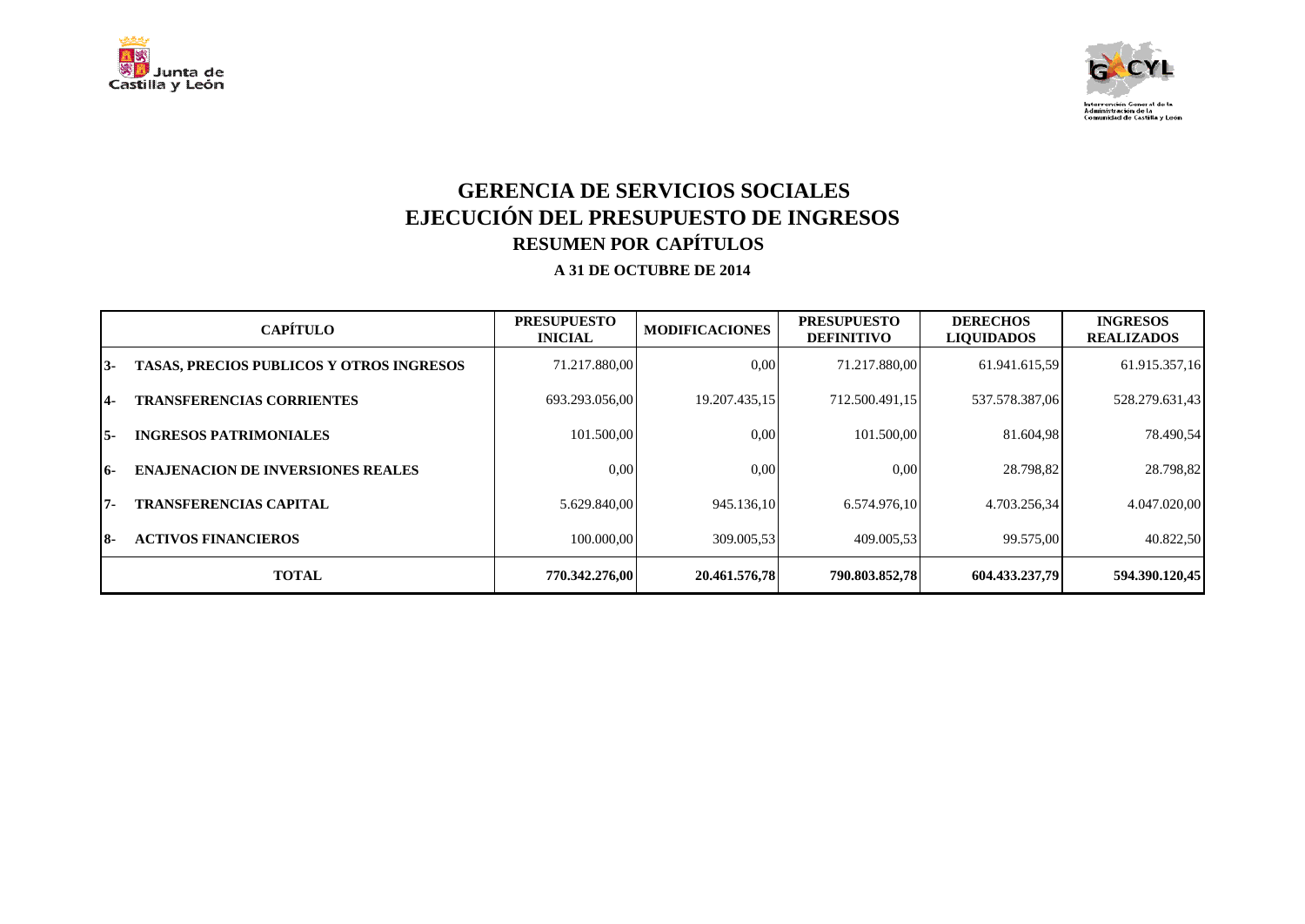



## **GERENCIA DE SERVICIOS SOCIALES EJECUCIÓN DEL PRESUPUESTO DE INGRESOS RESUMEN POR CAPÍTULOS**

|     | <b>CAPÍTULO</b>                                 | <b>PRESUPUESTO</b><br><b>INICIAL</b> | <b>MODIFICACIONES</b> | <b>PRESUPUESTO</b><br><b>DEFINITIVO</b> | <b>DERECHOS</b><br><b>LIQUIDADOS</b> | <b>INGRESOS</b><br><b>REALIZADOS</b> |
|-----|-------------------------------------------------|--------------------------------------|-----------------------|-----------------------------------------|--------------------------------------|--------------------------------------|
| 13- | <b>TASAS, PRECIOS PUBLICOS Y OTROS INGRESOS</b> | 71.217.880.00                        | 0.00                  | 71.217.880.00                           | 61.941.615,59                        | 61.915.357,16                        |
| 14- | <b>TRANSFERENCIAS CORRIENTES</b>                | 693.293.056.00                       | 19.207.435.15         | 712.500.491,15                          | 537.578.387,06                       | 528.279.631,43                       |
| 15- | <b>INGRESOS PATRIMONIALES</b>                   | 101.500.00                           | 0.00                  | 101.500.00                              | 81.604.98                            | 78.490.54                            |
| 16- | <b>ENAJENACION DE INVERSIONES REALES</b>        | 0.00                                 | $0.00\,$              | 0.00                                    | 28.798.82                            | 28.798,82                            |
| 17- | <b>TRANSFERENCIAS CAPITAL</b>                   | 5.629.840,00                         | 945.136,10            | 6.574.976.10                            | 4.703.256,34                         | 4.047.020,00                         |
| I8- | <b>ACTIVOS FINANCIEROS</b>                      | 100.000.00                           | 309.005.53            | 409.005.53                              | 99.575.00                            | 40.822,50                            |
|     | <b>TOTAL</b>                                    | 770.342.276.00                       | 20.461.576.78         | 790.803.852.78                          | 604.433.237.79                       | 594.390.120,45                       |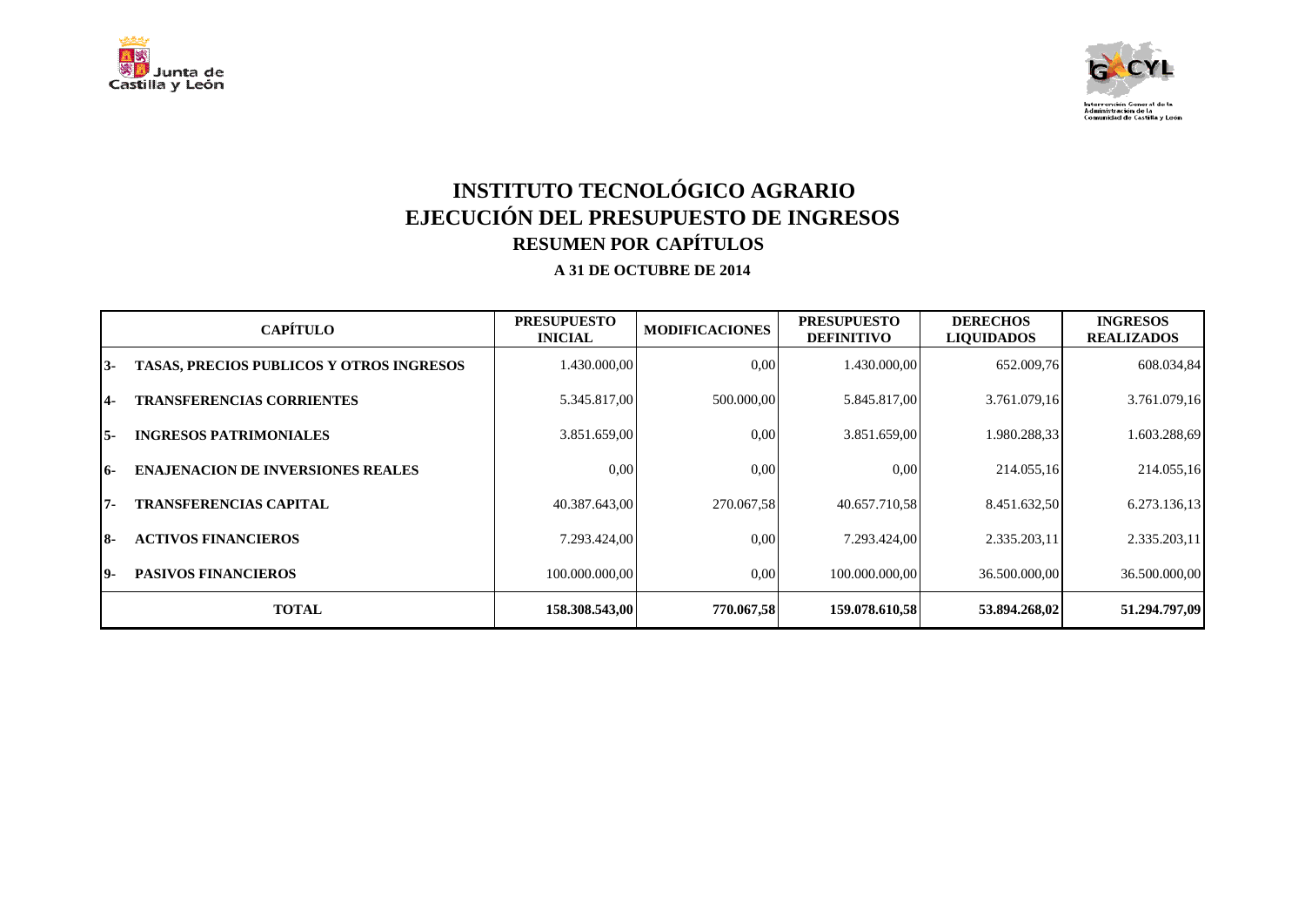



# **INSTITUTO TECNOLÓGICO AGRARIO EJECUCIÓN DEL PRESUPUESTO DE INGRESOS RESUMEN POR CAPÍTULOS**

|     | <b>CAPÍTULO</b>                                 | <b>PRESUPUESTO</b><br><b>INICIAL</b> | <b>MODIFICACIONES</b> | <b>PRESUPUESTO</b><br><b>DEFINITIVO</b> | <b>DERECHOS</b><br><b>LIQUIDADOS</b> | <b>INGRESOS</b><br><b>REALIZADOS</b> |
|-----|-------------------------------------------------|--------------------------------------|-----------------------|-----------------------------------------|--------------------------------------|--------------------------------------|
| 13- | <b>TASAS, PRECIOS PUBLICOS Y OTROS INGRESOS</b> | 1.430.000,00                         | 0.00                  | 1.430.000,00                            | 652.009,76                           | 608.034,84                           |
| 14- | <b>TRANSFERENCIAS CORRIENTES</b>                | 5.345.817,00                         | 500.000,00            | 5.845.817,00                            | 3.761.079,16                         | 3.761.079,16                         |
| I5- | <b>INGRESOS PATRIMONIALES</b>                   | 3.851.659,00                         | 0.00                  | 3.851.659,00                            | 1.980.288,33                         | 1.603.288,69                         |
| 16- | <b>ENAJENACION DE INVERSIONES REALES</b>        | 0.00                                 | 0.00                  | 0,00                                    | 214.055.16                           | 214.055,16                           |
| 17- | <b>TRANSFERENCIAS CAPITAL</b>                   | 40.387.643.00                        | 270.067.58            | 40.657.710.58                           | 8.451.632,50                         | 6.273.136,13                         |
| I8- | <b>ACTIVOS FINANCIEROS</b>                      | 7.293.424.00                         | 0.00                  | 7.293.424.00                            | 2.335.203,11                         | 2.335.203,11                         |
| 19- | <b>PASIVOS FINANCIEROS</b>                      | 100.000.000.00                       | 0.00                  | 100.000.000.00                          | 36.500.000.00                        | 36.500.000.00                        |
|     | <b>TOTAL</b>                                    | 158.308.543,00                       | 770.067,58            | 159.078.610,58                          | 53.894.268,02                        | 51.294.797,09                        |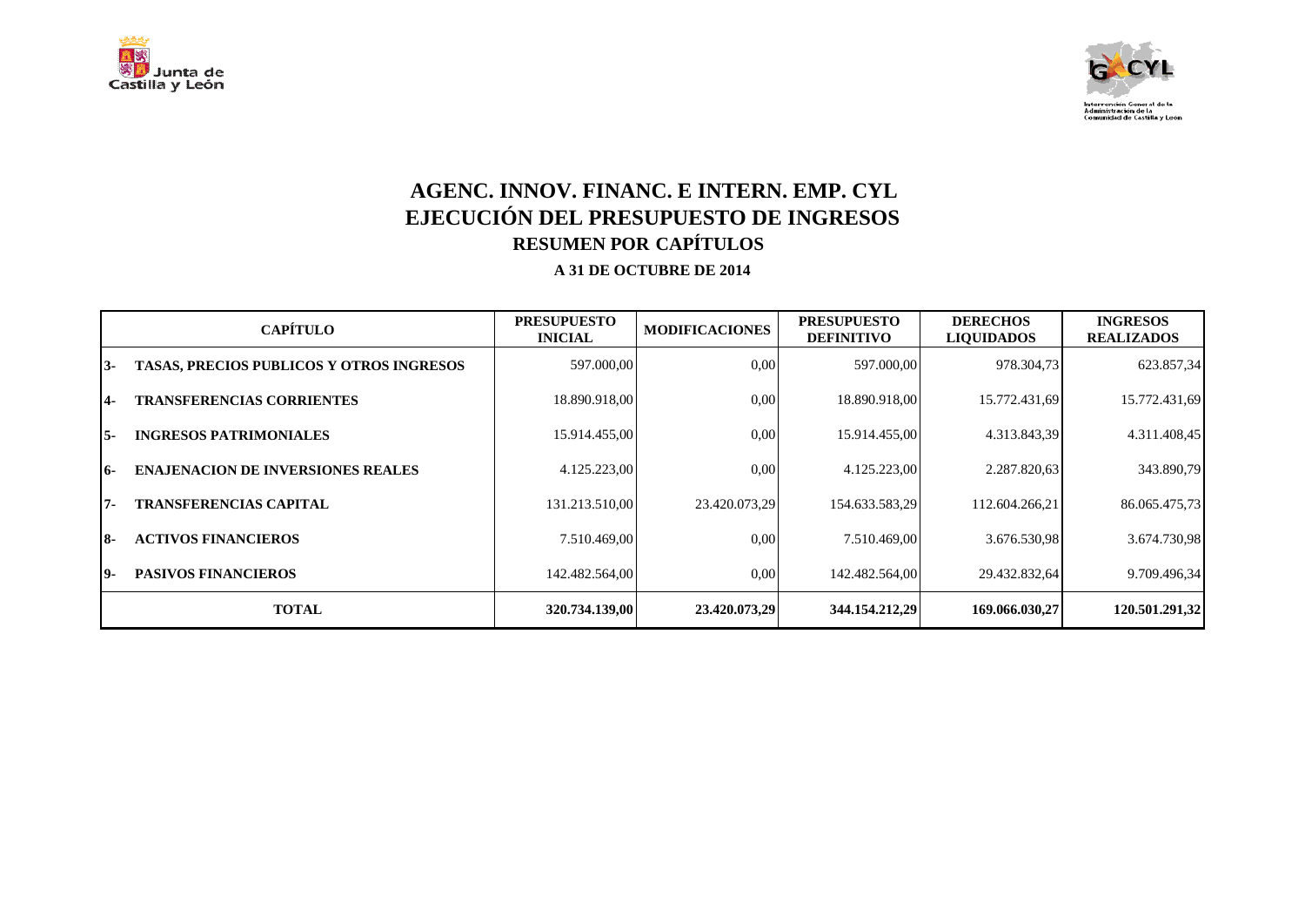



## **AGENC. INNOV. FINANC. E INTERN. EMP. CYL EJECUCIÓN DEL PRESUPUESTO DE INGRESOS RESUMEN POR CAPÍTULOS**

|     | <b>CAPÍTULO</b>                                 | <b>PRESUPUESTO</b><br><b>INICIAL</b> | <b>MODIFICACIONES</b> | <b>PRESUPUESTO</b><br><b>DEFINITIVO</b> | <b>DERECHOS</b><br><b>LIQUIDADOS</b> | <b>INGRESOS</b><br><b>REALIZADOS</b> |
|-----|-------------------------------------------------|--------------------------------------|-----------------------|-----------------------------------------|--------------------------------------|--------------------------------------|
| 13- | <b>TASAS, PRECIOS PUBLICOS Y OTROS INGRESOS</b> | 597.000,00                           | 0.00                  | 597.000,00                              | 978.304,73                           | 623.857,34                           |
| 14- | <b>TRANSFERENCIAS CORRIENTES</b>                | 18.890.918.00                        | 0.00                  | 18.890.918,00                           | 15.772.431,69                        | 15.772.431,69                        |
| I5- | <b>INGRESOS PATRIMONIALES</b>                   | 15.914.455,00                        | 0.00                  | 15.914.455,00                           | 4.313.843,39                         | 4.311.408,45                         |
| 16- | <b>ENAJENACION DE INVERSIONES REALES</b>        | 4.125.223,00                         | 0.00                  | 4.125.223,00                            | 2.287.820.63                         | 343.890,79                           |
| 17- | <b>TRANSFERENCIAS CAPITAL</b>                   | 131.213.510.00                       | 23.420.073.29         | 154.633.583,29                          | 112.604.266,21                       | 86.065.475,73                        |
| I8- | <b>ACTIVOS FINANCIEROS</b>                      | 7.510.469.00                         | 0.00                  | 7.510.469.00                            | 3.676.530,98                         | 3.674.730,98                         |
| 19- | <b>PASIVOS FINANCIEROS</b>                      | 142.482.564.00                       | 0.00                  | 142.482.564.00                          | 29.432.832.64                        | 9.709.496,34                         |
|     | <b>TOTAL</b>                                    | 320.734.139,00                       | 23.420.073,29         | 344.154.212,29                          | 169.066.030,27                       | 120.501.291,32                       |